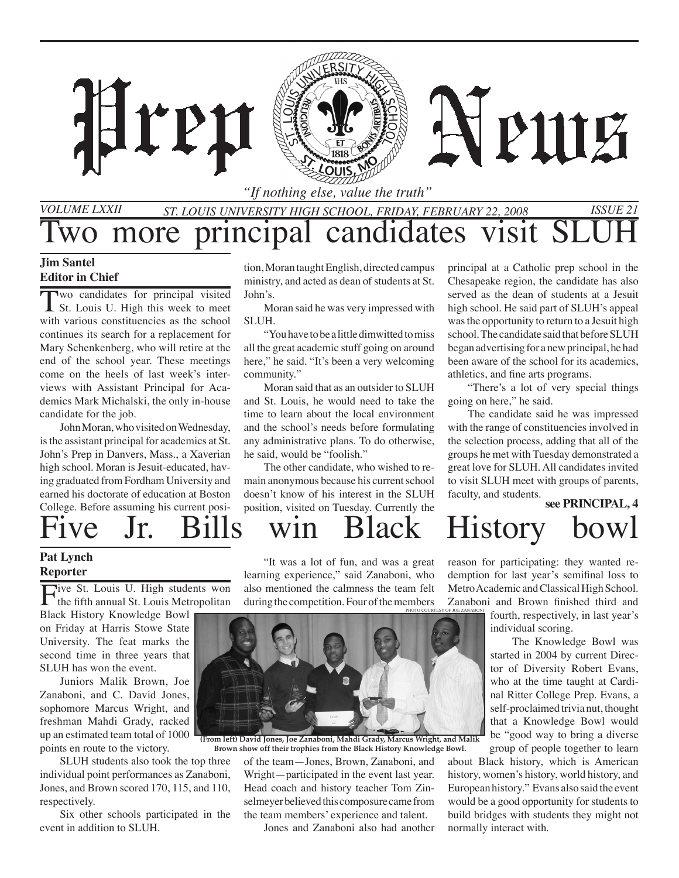

*"If nothing else, value the truth"*

### *St. Louis University High School, Friday, february 22, 2008 Issue 21 Volume LXXII* Two more principal candidates visit SL

#### **Jim Santel Editor in Chief**

Two candidates for principal visited St. Louis U. High this week to meet with various constituencies as the school continues its search for a replacement for Mary Schenkenberg, who will retire at the end of the school year. These meetings come on the heels of last week's interviews with Assistant Principal for Academics Mark Michalski, the only in-house candidate for the job.

John Moran, who visited on Wednesday, is the assistant principal for academics at St. John's Prep in Danvers, Mass., a Xaverian high school. Moran is Jesuit-educated, having graduated from Fordham University and earned his doctorate of education at Boston College. Before assuming his current posi-

tion, Moran taught English, directed campus ministry, and acted as dean of students at St. John's.

Moran said he was very impressed with SLUH.

"You have to be a little dimwitted to miss all the great academic stuff going on around here," he said. "It's been a very welcoming community."

Moran said that as an outsider to SLUH and St. Louis, he would need to take the time to learn about the local environment and the school's needs before formulating any administrative plans. To do otherwise, he said, would be "foolish."

The other candidate, who wished to remain anonymous because his current school doesn't know of his interest in the SLUH position, visited on Tuesday. Currently the principal at a Catholic prep school in the Chesapeake region, the candidate has also served as the dean of students at a Jesuit high school. He said part of SLUH's appeal was the opportunity to return to a Jesuit high school. The candidate said that before SLUH began advertising for a new principal, he had been aware of the school for its academics, athletics, and fine arts programs.

"There's a lot of very special things going on here," he said.

The candidate said he was impressed with the range of constituencies involved in the selection process, adding that all of the groups he met with Tuesday demonstrated a great love for SLUH. All candidates invited to visit SLUH meet with groups of parents, faculty, and students. **see PRINCIPAL, 4**

# Five Jr. Bills win Black History bowl

#### **Pat Lynch Reporter**

Five St. Louis U. High students won<br>the fifth annual St. Louis Metropolitan

Black History Knowledge Bowl on Friday at Harris Stowe State University. The feat marks the second time in three years that SLUH has won the event.

Juniors Malik Brown, Joe Zanaboni, and C. David Jones, sophomore Marcus Wright, and freshman Mahdi Grady, racked up an estimated team total of 1000 points en route to the victory.

SLUH students also took the top three individual point performances as Zanaboni, Jones, and Brown scored 170, 115, and 110, respectively.

Six other schools participated in the event in addition to SLUH.

"It was a lot of fun, and was a great learning experience," said Zanaboni, who also mentioned the calmness the team felt during the competition. Four of the members



**(From left) David Jones, Joe Zanaboni, Mahdi Grady, Marcus Wright, and Malik** 

of the team—Jones, Brown, Zanaboni, and Wright—participated in the event last year. Head coach and history teacher Tom Zinselmeyer believed this composure came from the team members' experience and talent. **Brown show off their trophies from the Black History Knowledge Bowl.**

Jones and Zanaboni also had another

reason for participating: they wanted redemption for last year's semifinal loss to Metro Academic and Classical High School. Zanaboni and Brown finished third and

fourth, respectively, in last year's individual scoring. photo courtesy of joe zanaboni

 The Knowledge Bowl was started in 2004 by current Director of Diversity Robert Evans, who at the time taught at Cardinal Ritter College Prep. Evans, a self-proclaimed trivia nut, thought that a Knowledge Bowl would be "good way to bring a diverse group of people together to learn

about Black history, which is American history, women's history, world history, and European history." Evans also said the event would be a good opportunity for students to build bridges with students they might not normally interact with.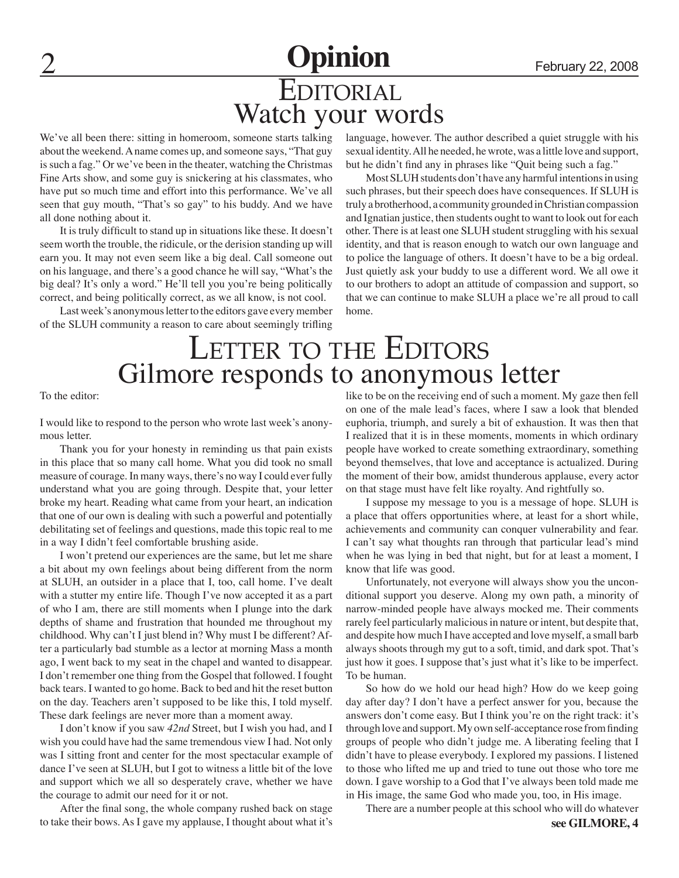# **Opinion** February 22, 2008 Watch your words EDITORIAL

We've all been there: sitting in homeroom, someone starts talking about the weekend. A name comes up, and someone says, "That guy is such a fag." Or we've been in the theater, watching the Christmas Fine Arts show, and some guy is snickering at his classmates, who have put so much time and effort into this performance. We've all seen that guy mouth, "That's so gay" to his buddy. And we have all done nothing about it.

It is truly difficult to stand up in situations like these. It doesn't seem worth the trouble, the ridicule, or the derision standing up will earn you. It may not even seem like a big deal. Call someone out on his language, and there's a good chance he will say, "What's the big deal? It's only a word." He'll tell you you're being politically correct, and being politically correct, as we all know, is not cool.

Last week's anonymous letter to the editors gave every member of the SLUH community a reason to care about seemingly trifling

language, however. The author described a quiet struggle with his sexual identity. All he needed, he wrote, was a little love and support, but he didn't find any in phrases like "Quit being such a fag."

Most SLUH students don't have any harmful intentions in using such phrases, but their speech does have consequences. If SLUH is truly a brotherhood, a community grounded in Christian compassion and Ignatian justice, then students ought to want to look out for each other. There is at least one SLUH student struggling with his sexual identity, and that is reason enough to watch our own language and to police the language of others. It doesn't have to be a big ordeal. Just quietly ask your buddy to use a different word. We all owe it to our brothers to adopt an attitude of compassion and support, so that we can continue to make SLUH a place we're all proud to call home.

# LETTER TO THE EDITORS Gilmore responds to anonymous letter

To the editor:

I would like to respond to the person who wrote last week's anonymous letter.

Thank you for your honesty in reminding us that pain exists in this place that so many call home. What you did took no small measure of courage. In many ways, there's no way I could ever fully understand what you are going through. Despite that, your letter broke my heart. Reading what came from your heart, an indication that one of our own is dealing with such a powerful and potentially debilitating set of feelings and questions, made this topic real to me in a way I didn't feel comfortable brushing aside.

I won't pretend our experiences are the same, but let me share a bit about my own feelings about being different from the norm at SLUH, an outsider in a place that I, too, call home. I've dealt with a stutter my entire life. Though I've now accepted it as a part of who I am, there are still moments when I plunge into the dark depths of shame and frustration that hounded me throughout my childhood. Why can't I just blend in? Why must I be different? After a particularly bad stumble as a lector at morning Mass a month ago, I went back to my seat in the chapel and wanted to disappear. I don't remember one thing from the Gospel that followed. I fought back tears. I wanted to go home. Back to bed and hit the reset button on the day. Teachers aren't supposed to be like this, I told myself. These dark feelings are never more than a moment away.

I don't know if you saw *42nd* Street, but I wish you had, and I wish you could have had the same tremendous view I had. Not only was I sitting front and center for the most spectacular example of dance I've seen at SLUH, but I got to witness a little bit of the love and support which we all so desperately crave, whether we have the courage to admit our need for it or not.

After the final song, the whole company rushed back on stage to take their bows. As I gave my applause, I thought about what it's like to be on the receiving end of such a moment. My gaze then fell on one of the male lead's faces, where I saw a look that blended euphoria, triumph, and surely a bit of exhaustion. It was then that I realized that it is in these moments, moments in which ordinary people have worked to create something extraordinary, something beyond themselves, that love and acceptance is actualized. During the moment of their bow, amidst thunderous applause, every actor on that stage must have felt like royalty. And rightfully so.

I suppose my message to you is a message of hope. SLUH is a place that offers opportunities where, at least for a short while, achievements and community can conquer vulnerability and fear. I can't say what thoughts ran through that particular lead's mind when he was lying in bed that night, but for at least a moment, I know that life was good.

Unfortunately, not everyone will always show you the unconditional support you deserve. Along my own path, a minority of narrow-minded people have always mocked me. Their comments rarely feel particularly malicious in nature or intent, but despite that, and despite how much I have accepted and love myself, a small barb always shoots through my gut to a soft, timid, and dark spot. That's just how it goes. I suppose that's just what it's like to be imperfect. To be human.

So how do we hold our head high? How do we keep going day after day? I don't have a perfect answer for you, because the answers don't come easy. But I think you're on the right track: it's through love and support. My own self-acceptance rose from finding groups of people who didn't judge me. A liberating feeling that I didn't have to please everybody. I explored my passions. I listened to those who lifted me up and tried to tune out those who tore me down. I gave worship to a God that I've always been told made me in His image, the same God who made you, too, in His image.

**see GILMORE, 4** There are a number people at this school who will do whatever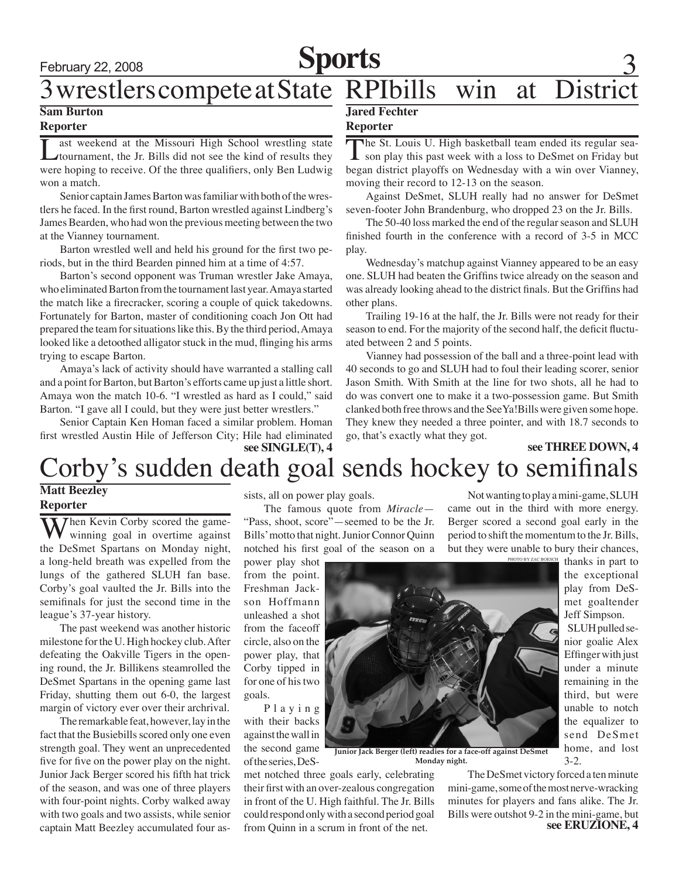# February 22, 2008 **Sports** 3

# 3 wrestlers compete at State RPIbills win at District

### **Sam Burton**

### **Reporter**

Last weekend at the Missouri High School wrestling state<br>tournament, the Jr. Bills did not see the kind of results they were hoping to receive. Of the three qualifiers, only Ben Ludwig won a match.

Senior captain James Barton was familiar with both of the wrestlers he faced. In the first round, Barton wrestled against Lindberg's James Bearden, who had won the previous meeting between the two at the Vianney tournament.

Barton wrestled well and held his ground for the first two periods, but in the third Bearden pinned him at a time of 4:57.

Barton's second opponent was Truman wrestler Jake Amaya, who eliminated Barton from the tournament last year. Amaya started the match like a firecracker, scoring a couple of quick takedowns. Fortunately for Barton, master of conditioning coach Jon Ott had prepared the team for situations like this. By the third period, Amaya looked like a detoothed alligator stuck in the mud, flinging his arms trying to escape Barton.

Amaya's lack of activity should have warranted a stalling call and a point for Barton, but Barton's efforts came up just a little short. Amaya won the match 10-6. "I wrestled as hard as I could," said Barton. "I gave all I could, but they were just better wrestlers."

Senior Captain Ken Homan faced a similar problem. Homan first wrestled Austin Hile of Jefferson City; Hile had eliminated

#### **see SINGLE(T), 4 see THREE DOWN, 4**

#### **Jared Fechter**

#### **Reporter**

The St. Louis U. High basketball team ended its regular sea-<br>son play this past week with a loss to DeSmet on Friday but began district playoffs on Wednesday with a win over Vianney, moving their record to 12-13 on the season.

Against DeSmet, SLUH really had no answer for DeSmet seven-footer John Brandenburg, who dropped 23 on the Jr. Bills.

The 50-40 loss marked the end of the regular season and SLUH finished fourth in the conference with a record of 3-5 in MCC play.

Wednesday's matchup against Vianney appeared to be an easy one. SLUH had beaten the Griffins twice already on the season and was already looking ahead to the district finals. But the Griffins had other plans.

Trailing 19-16 at the half, the Jr. Bills were not ready for their season to end. For the majority of the second half, the deficit fluctuated between 2 and 5 points.

Vianney had possession of the ball and a three-point lead with 40 seconds to go and SLUH had to foul their leading scorer, senior Jason Smith. With Smith at the line for two shots, all he had to do was convert one to make it a two-possession game. But Smith clanked both free throws and the SeeYa!Bills were given some hope. They knew they needed a three pointer, and with 18.7 seconds to go, that's exactly what they got.

# Corby's sudden death goal sends hockey to semifinals

## **Matt Beezley**

**Reporter**

Then Kevin Corby scored the gamewinning goal in overtime against the DeSmet Spartans on Monday night, a long-held breath was expelled from the lungs of the gathered SLUH fan base. Corby's goal vaulted the Jr. Bills into the semifinals for just the second time in the league's 37-year history.

The past weekend was another historic milestone for the U. High hockey club. After defeating the Oakville Tigers in the opening round, the Jr. Billikens steamrolled the DeSmet Spartans in the opening game last Friday, shutting them out 6-0, the largest margin of victory ever over their archrival.

The remarkable feat, however, lay in the fact that the Busiebills scored only one even strength goal. They went an unprecedented five for five on the power play on the night. Junior Jack Berger scored his fifth hat trick of the season, and was one of three players with four-point nights. Corby walked away with two goals and two assists, while senior captain Matt Beezley accumulated four assists, all on power play goals.

The famous quote from *Miracle*— "Pass, shoot, score"—seemed to be the Jr. Bills' motto that night. Junior Connor Quinn notched his first goal of the season on a

power play shot from the point. Freshman Jackson Hoffmann unleashed a shot from the faceoff circle, also on the power play, that Corby tipped in for one of his two goals.

P l a y i n g with their backs against the wall in the second game of the series, DeS-

met notched three goals early, celebrating their first with an over-zealous congregation in front of the U. High faithful. The Jr. Bills could respond only with a second period goal from Quinn in a scrum in front of the net.

photo by zac boe Not wanting to play a mini-game, SLUH came out in the third with more energy. Berger scored a second goal early in the period to shift the momentum to the Jr. Bills, but they were unable to bury their chances,

**Junior Jack Berger (left) readies for a face-off against DeSmet Monday night.**

The DeSmet victory forced a ten minute mini-game, some of the most nerve-wracking minutes for players and fans alike. The Jr. Bills were outshot 9-2 in the mini-game, but **see ERUZIONE, 4**

thanks in part to the exceptional play from DeSmet goaltender Jeff Simpson.

SLUH pulled senior goalie Alex Effinger with just under a minute remaining in the third, but were unable to notch the equalizer to send DeSmet home, and lost 3-2.